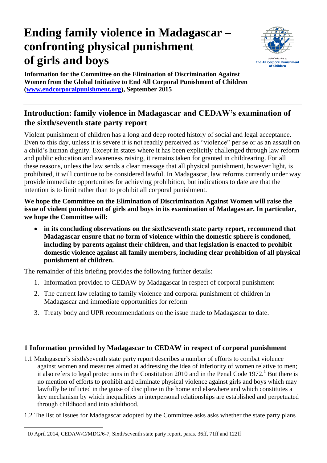# **Ending family violence in Madagascar – confronting physical punishment of girls and boys**



**Information for the Committee on the Elimination of Discrimination Against Women from the Global Initiative to End All Corporal Punishment of Children [\(www.endcorporalpunishment.org\)](http://www.endcorporalpunishment.org/), September 2015**

# **Introduction: family violence in Madagascar and CEDAW's examination of the sixth/seventh state party report**

Violent punishment of children has a long and deep rooted history of social and legal acceptance. Even to this day, unless it is severe it is not readily perceived as "violence" per se or as an assault on a child's human dignity. Except in states where it has been explicitly challenged through law reform and public education and awareness raising, it remains taken for granted in childrearing. For all these reasons, unless the law sends a clear message that all physical punishment, however light, is prohibited, it will continue to be considered lawful. In Madagascar, law reforms currently under way provide immediate opportunities for achieving prohibition, but indications to date are that the intention is to limit rather than to prohibit all corporal punishment.

**We hope the Committee on the Elimination of Discrimination Against Women will raise the issue of violent punishment of girls and boys in its examination of Madagascar. In particular, we hope the Committee will:**

 **in its concluding observations on the sixth/seventh state party report, recommend that Madagascar ensure that** *no* **form of violence within the domestic sphere is condoned, including by parents against their children, and that legislation is enacted to prohibit domestic violence against all family members, including clear prohibition of all physical punishment of children.**

The remainder of this briefing provides the following further details:

- 1. Information provided to CEDAW by Madagascar in respect of corporal punishment
- 2. The current law relating to family violence and corporal punishment of children in Madagascar and immediate opportunities for reform
- 3. Treaty body and UPR recommendations on the issue made to Madagascar to date.

## **1 Information provided by Madagascar to CEDAW in respect of corporal punishment**

- 1.1 Madagascar's sixth/seventh state party report describes a number of efforts to combat violence against women and measures aimed at addressing the idea of inferiority of women relative to men; it also refers to legal protections in the Constitution 2010 and in the Penal Code 1972.<sup>1</sup> But there is no mention of efforts to prohibit and eliminate physical violence against girls and boys which may lawfully be inflicted in the guise of discipline in the home and elsewhere and which constitutes a key mechanism by which inequalities in interpersonal relationships are established and perpetuated through childhood and into adulthood.
- 1.2 The list of issues for Madagascar adopted by the Committee asks asks whether the state party plans

 1 10 April 2014, CEDAW/C/MDG/6-7, Sixth/seventh state party report, paras. 36ff, 71ff and 122ff